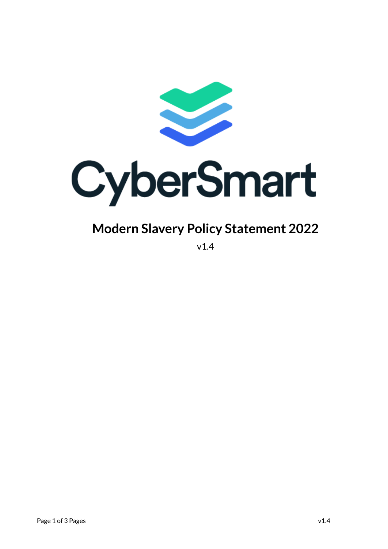

# CyberSmart

## **Modern Slavery Policy Statement 2022**

v1.4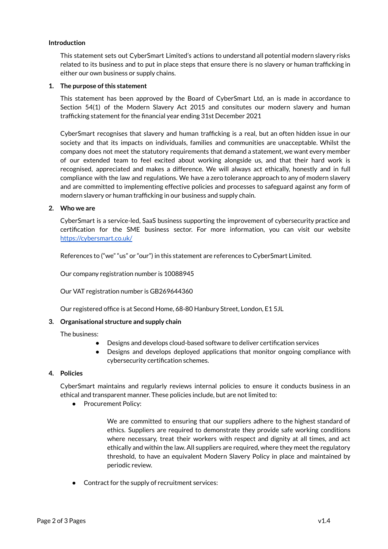#### **Introduction**

This statement sets out CyberSmart Limited's actions to understand all potential modern slavery risks related to its business and to put in place steps that ensure there is no slavery or human trafficking in either our own business or supply chains.

#### **1. The purpose ofthis statement**

This statement has been approved by the Board of CyberSmart Ltd, an is made in accordance to Section 54(1) of the Modern Slavery Act 2015 and consitutes our modern slavery and human trafficking statement for the financial year ending 31st December 2021

CyberSmart recognises that slavery and human trafficking is a real, but an often hidden issue in our society and that its impacts on individuals, families and communities are unacceptable. Whilst the company does not meet the statutory requirements that demand a statement, we want every member of our extended team to feel excited about working alongside us, and that their hard work is recognised, appreciated and makes a difference. We will always act ethically, honestly and in full compliance with the law and regulations. We have a zero tolerance approach to any of modern slavery and are committed to implementing effective policies and processes to safeguard against any form of modern slavery or human trafficking in our business and supply chain.

#### **2. Who we are**

CyberSmart is a service-led, SaaS business supporting the improvement of cybersecurity practice and certification for the SME business sector. For more information, you can visit our website <https://cybersmart.co.uk/>

References to ("we" "us" or "our") in this statement are references to CyberSmart Limited.

Our company registration number is 10088945

Our VAT registration number is GB269644360

Our registered office is at Second Home, 68-80 Hanbury Street, London, E1 5JL

### **3. Organisational structure and supply chain**

The business:

- Designs and develops cloud-based software to deliver certification services
- Designs and develops deployed applications that monitor ongoing compliance with cybersecurity certification schemes.

#### **4. Policies**

CyberSmart maintains and regularly reviews internal policies to ensure it conducts business in an ethical and transparent manner. These policies include, but are not limited to:

● Procurement Policy:

We are committed to ensuring that our suppliers adhere to the highest standard of ethics. Suppliers are required to demonstrate they provide safe working conditions where necessary, treat their workers with respect and dignity at all times, and act ethically and within the law. All suppliers are required, where they meet the regulatory threshold, to have an equivalent Modern Slavery Policy in place and maintained by periodic review.

Contract for the supply of recruitment services: